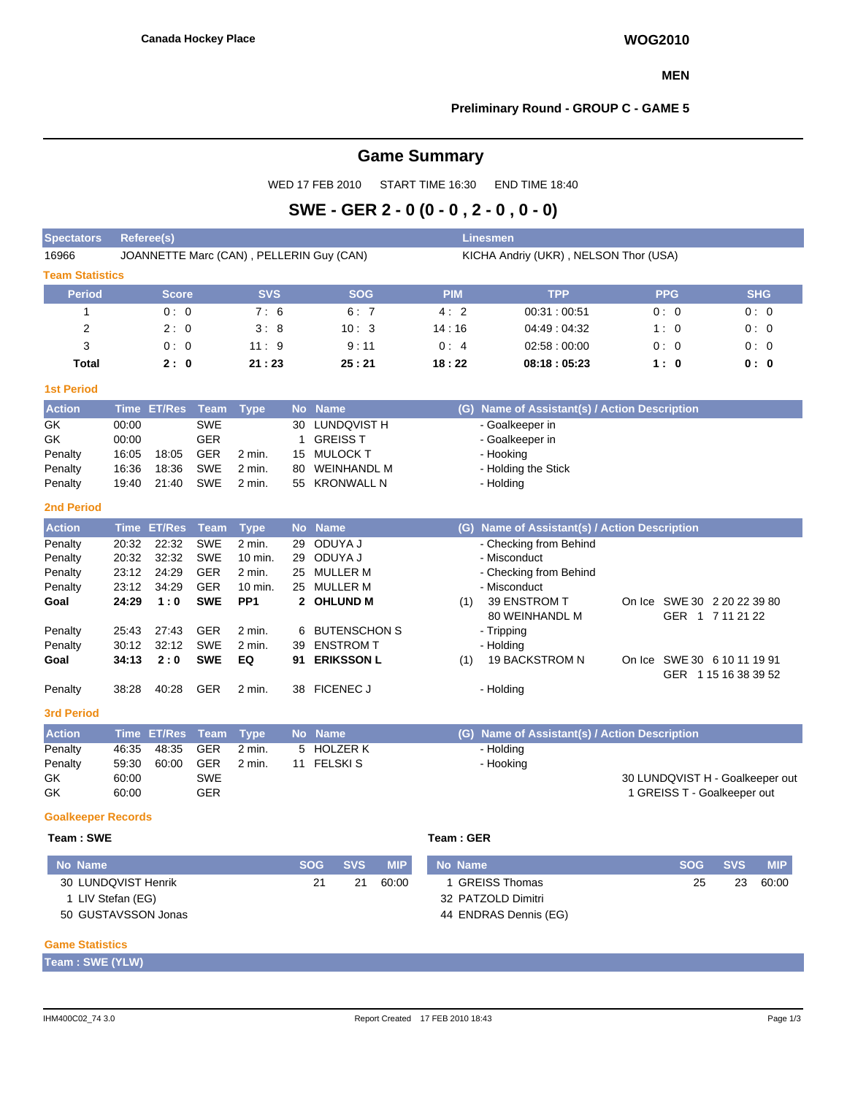#### **MEN**

## **Preliminary Round - GROUP C - GAME 5**

# **Game Summary**

WED 17 FEB 2010 START TIME 16:30 END TIME 18:40

# **SWE - GER 2 - 0 (0 - 0 , 2 - 0 , 0 - 0)**

| <b>Spectators</b>                                                                                                                                | <b>Referee(s)</b><br><b>Linesmen</b>                                          |                                                                                                                       |                                                                                                                                                   |                                                                                                                               |                                              |                                                                                                                                                                              |            |                                       |                                                                                                                                                                                                                                                                                       |  |                                                                                                        |            |            |  |  |  |  |
|--------------------------------------------------------------------------------------------------------------------------------------------------|-------------------------------------------------------------------------------|-----------------------------------------------------------------------------------------------------------------------|---------------------------------------------------------------------------------------------------------------------------------------------------|-------------------------------------------------------------------------------------------------------------------------------|----------------------------------------------|------------------------------------------------------------------------------------------------------------------------------------------------------------------------------|------------|---------------------------------------|---------------------------------------------------------------------------------------------------------------------------------------------------------------------------------------------------------------------------------------------------------------------------------------|--|--------------------------------------------------------------------------------------------------------|------------|------------|--|--|--|--|
| 16966                                                                                                                                            |                                                                               |                                                                                                                       |                                                                                                                                                   |                                                                                                                               |                                              | JOANNETTE Marc (CAN), PELLERIN Guy (CAN)                                                                                                                                     |            | KICHA Andriy (UKR), NELSON Thor (USA) |                                                                                                                                                                                                                                                                                       |  |                                                                                                        |            |            |  |  |  |  |
| <b>Team Statistics</b>                                                                                                                           |                                                                               |                                                                                                                       |                                                                                                                                                   |                                                                                                                               |                                              |                                                                                                                                                                              |            |                                       |                                                                                                                                                                                                                                                                                       |  |                                                                                                        |            |            |  |  |  |  |
| <b>Period</b>                                                                                                                                    |                                                                               | <b>Score</b>                                                                                                          |                                                                                                                                                   | <b>SVS</b>                                                                                                                    |                                              | <b>SOG</b>                                                                                                                                                                   |            | <b>PIM</b>                            | <b>TPP</b>                                                                                                                                                                                                                                                                            |  | <b>PPG</b>                                                                                             |            | <b>SHG</b> |  |  |  |  |
| $\mathbf{1}$                                                                                                                                     | 0:0                                                                           |                                                                                                                       |                                                                                                                                                   | 7:6                                                                                                                           |                                              | 6:7                                                                                                                                                                          |            | 4:2                                   | 00:31:00:51                                                                                                                                                                                                                                                                           |  | 0:0                                                                                                    |            | 0:0        |  |  |  |  |
| $\overline{\mathbf{c}}$                                                                                                                          | 2:0<br>3:8                                                                    |                                                                                                                       |                                                                                                                                                   |                                                                                                                               |                                              | 10:3                                                                                                                                                                         |            | 14:16                                 | 04:49:04:32                                                                                                                                                                                                                                                                           |  | 1:0                                                                                                    |            | 0:0        |  |  |  |  |
| 3                                                                                                                                                |                                                                               | 0:0                                                                                                                   |                                                                                                                                                   | 11:9                                                                                                                          |                                              | 9:11                                                                                                                                                                         |            | 0:4                                   | 02:58:00:00                                                                                                                                                                                                                                                                           |  | 0:0                                                                                                    |            | 0:0        |  |  |  |  |
| Total                                                                                                                                            |                                                                               | 2:0                                                                                                                   |                                                                                                                                                   | 21:23                                                                                                                         |                                              | 25:21                                                                                                                                                                        |            | 18:22                                 | 08:18:05:23                                                                                                                                                                                                                                                                           |  | 1:0                                                                                                    |            | 0: 0       |  |  |  |  |
| <b>1st Period</b>                                                                                                                                |                                                                               |                                                                                                                       |                                                                                                                                                   |                                                                                                                               |                                              |                                                                                                                                                                              |            |                                       |                                                                                                                                                                                                                                                                                       |  |                                                                                                        |            |            |  |  |  |  |
| <b>Action</b>                                                                                                                                    | <b>Time</b>                                                                   | <b>ET/Res</b>                                                                                                         | <b>Team</b>                                                                                                                                       | <b>Type</b>                                                                                                                   | <b>No</b>                                    | <b>Name</b>                                                                                                                                                                  |            | (G)                                   | Name of Assistant(s) / Action Description                                                                                                                                                                                                                                             |  |                                                                                                        |            |            |  |  |  |  |
| GK<br>GK<br>Penalty<br>Penalty<br>Penalty                                                                                                        | 00:00<br>00:00<br>16:05<br>16:36<br>19:40                                     | 18:05<br>18:36<br>21:40                                                                                               | <b>SWE</b><br><b>GER</b><br><b>GER</b><br><b>SWE</b><br><b>SWE</b>                                                                                | 2 min.<br>2 min.<br>2 min.                                                                                                    | 30<br>$\mathbf{1}$<br>15<br>80               | <b>LUNDQVIST H</b><br><b>GREISS T</b><br><b>MULOCK T</b><br><b>WEINHANDL M</b><br>55 KRONWALL N                                                                              |            |                                       | - Goalkeeper in<br>- Goalkeeper in<br>- Hooking<br>- Holding the Stick<br>- Holding                                                                                                                                                                                                   |  |                                                                                                        |            |            |  |  |  |  |
| <b>2nd Period</b>                                                                                                                                |                                                                               |                                                                                                                       |                                                                                                                                                   |                                                                                                                               |                                              |                                                                                                                                                                              |            |                                       |                                                                                                                                                                                                                                                                                       |  |                                                                                                        |            |            |  |  |  |  |
| <b>Action</b><br>Penalty<br>Penalty<br>Penalty<br>Penalty<br>Goal<br>Penalty<br>Penalty<br>Goal<br>Penalty<br><b>3rd Period</b><br><b>Action</b> | 20:32<br>20:32<br>23:12<br>23:12<br>24:29<br>25:43<br>30:12<br>34:13<br>38:28 | <b>Time ET/Res</b><br>22:32<br>32:32<br>24:29<br>34:29<br>1:0<br>27:43<br>32:12<br>2:0<br>40:28<br><b>Time ET/Res</b> | <b>Team</b><br><b>SWE</b><br><b>SWE</b><br><b>GER</b><br><b>GER</b><br><b>SWE</b><br><b>GER</b><br><b>SWE</b><br><b>SWE</b><br><b>GER</b><br>Team | <b>Type</b><br>$2$ min.<br>10 min.<br>2 min.<br>10 min.<br>PP <sub>1</sub><br>2 min.<br>2 min.<br>EQ<br>2 min.<br><b>Type</b> | <b>No</b><br>29<br>29<br>25<br>6<br>39<br>91 | <b>Name</b><br>ODUYA J<br>ODUYA J<br>25 MULLER M<br><b>MULLER M</b><br>2 OHLUND M<br><b>BUTENSCHON S</b><br><b>ENSTROM T</b><br><b>ERIKSSON L</b><br>38 FICENEC J<br>No Name |            | (1)<br>(1)                            | (G) Name of Assistant(s) / Action Description<br>- Checking from Behind<br>- Misconduct<br>- Checking from Behind<br>- Misconduct<br>39 ENSTROM T<br><b>80 WEINHANDL M</b><br>- Tripping<br>- Holding<br>19 BACKSTROM N<br>- Holding<br>(G) Name of Assistant(s) / Action Description |  | On Ice SWE 30 2 20 22 39 80<br>GER 1 7 11 21 22<br>On Ice SWE 30 6 10 11 19 91<br>GER 1 15 16 38 39 52 |            |            |  |  |  |  |
| Penalty                                                                                                                                          | 46:35                                                                         | 48:35                                                                                                                 | <b>GER</b>                                                                                                                                        | 2 min.                                                                                                                        |                                              | 5 HOLZER K                                                                                                                                                                   |            |                                       | - Holding                                                                                                                                                                                                                                                                             |  |                                                                                                        |            |            |  |  |  |  |
| Penalty<br>GK<br>GK                                                                                                                              | 59:30<br>60:00<br>60:00                                                       | 60:00                                                                                                                 | <b>GER</b><br><b>SWE</b><br><b>GER</b>                                                                                                            | 2 min.                                                                                                                        |                                              | 11 FELSKIS                                                                                                                                                                   |            |                                       | - Hooking                                                                                                                                                                                                                                                                             |  | 30 LUNDQVIST H - Goalkeeper out<br>1 GREISS T - Goalkeeper out                                         |            |            |  |  |  |  |
| <b>Goalkeeper Records</b>                                                                                                                        |                                                                               |                                                                                                                       |                                                                                                                                                   |                                                                                                                               |                                              |                                                                                                                                                                              |            |                                       |                                                                                                                                                                                                                                                                                       |  |                                                                                                        |            |            |  |  |  |  |
| Team: SWE                                                                                                                                        |                                                                               |                                                                                                                       |                                                                                                                                                   |                                                                                                                               |                                              |                                                                                                                                                                              |            | Team: GER                             |                                                                                                                                                                                                                                                                                       |  |                                                                                                        |            |            |  |  |  |  |
| <b>No Name</b>                                                                                                                                   |                                                                               |                                                                                                                       |                                                                                                                                                   |                                                                                                                               |                                              | <b>SOG</b><br><b>SVS</b>                                                                                                                                                     | <b>MIP</b> | <b>No Name</b>                        |                                                                                                                                                                                                                                                                                       |  | <b>SOG</b>                                                                                             | <b>SVS</b> | <b>MIP</b> |  |  |  |  |
| 60:00<br>30 LUNDQVIST Henrik<br>21<br>21                                                                                                         |                                                                               |                                                                                                                       |                                                                                                                                                   |                                                                                                                               |                                              |                                                                                                                                                                              |            |                                       | 1 GREISS Thomas                                                                                                                                                                                                                                                                       |  | 25                                                                                                     | 23         | 60:00      |  |  |  |  |

#### **Game Statistics**

| Team : SWE (YLW) |  |
|------------------|--|
|------------------|--|

1 LIV Stefan (EG) 50 GUSTAVSSON Jonas 32 PATZOLD Dimitri 44 ENDRAS Dennis (EG)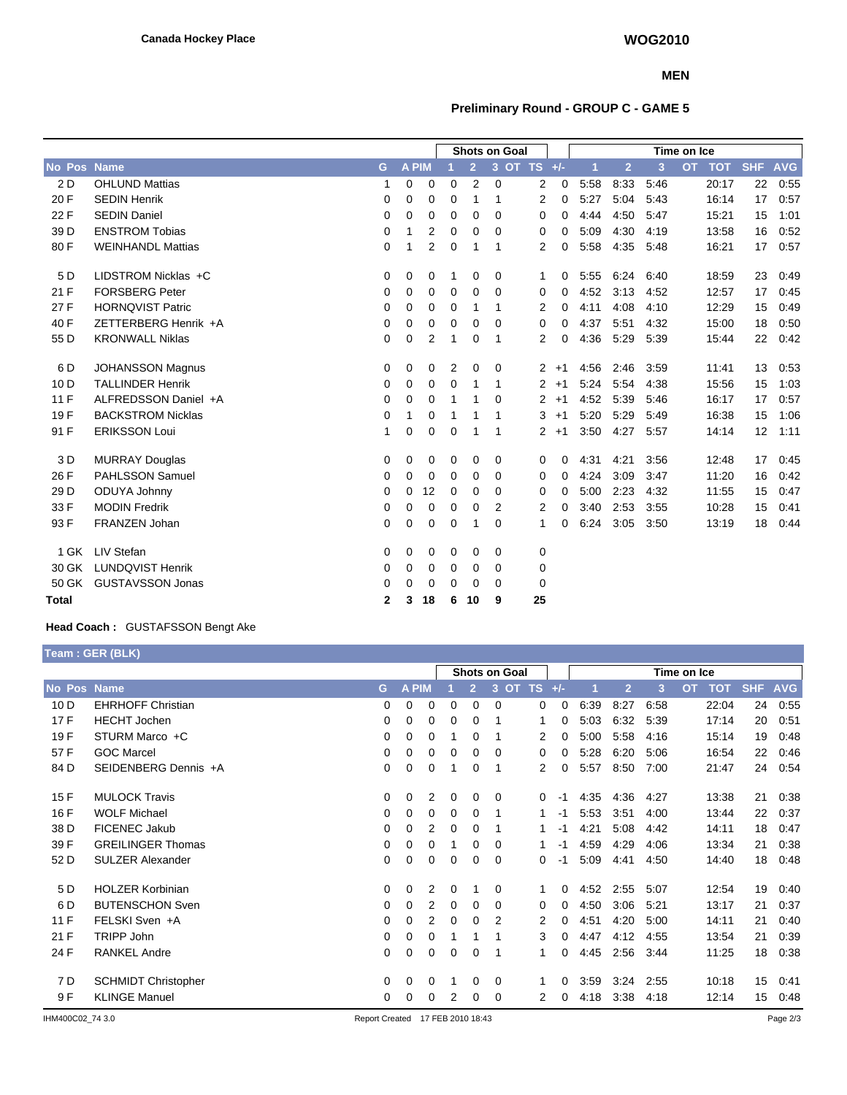### **MEN**

## **Preliminary Round - GROUP C - GAME 5**

|                 |                          |              |              |                | <b>Shots on Goal</b> |                |          |                      |          | Time on Ice |                |      |                         |            |            |
|-----------------|--------------------------|--------------|--------------|----------------|----------------------|----------------|----------|----------------------|----------|-------------|----------------|------|-------------------------|------------|------------|
| No Pos          | <b>Name</b>              | G            | <b>A PIM</b> |                |                      | $\overline{2}$ |          | 3 OT TS +/-          |          | 1           | $\overline{2}$ | 3    | <b>OT</b><br><b>TOT</b> | <b>SHF</b> | <b>AVG</b> |
| 2 D             | <b>OHLUND Mattias</b>    | 1            | 0            | 0              | 0                    | 2              | $\Omega$ | 2                    | 0        | 5:58        | 8:33           | 5:46 | 20:17                   | 22         | 0:55       |
| 20 F            | <b>SEDIN Henrik</b>      | 0            | 0            | 0              | 0                    | 1              | 1        | $\overline{2}$       | 0        | 5:27        | 5:04           | 5:43 | 16:14                   | 17         | 0:57       |
| 22 F            | <b>SEDIN Daniel</b>      | 0            | 0            | 0              | 0                    | 0              | $\Omega$ | 0                    | 0        | 4:44        | 4:50           | 5:47 | 15:21                   | 15         | 1:01       |
| 39 D            | <b>ENSTROM Tobias</b>    | $\mathbf 0$  | 1            | 2              | $\mathbf 0$          | 0              | 0        | 0                    | 0        | 5:09        | 4:30           | 4:19 | 13:58                   | 16         | 0:52       |
| 80 F            | <b>WEINHANDL Mattias</b> | $\Omega$     | 1            | $\overline{2}$ | 0                    | 1              | 1        | $\overline{2}$       | 0        | 5:58        | 4:35           | 5:48 | 16:21                   | 17         | 0:57       |
| 5 D             | LIDSTROM Nicklas +C      | 0            | 0            | 0              | 1                    | 0              | 0        | 1                    | 0        | 5:55        | 6:24           | 6:40 | 18:59                   | 23         | 0:49       |
| 21F             | <b>FORSBERG Peter</b>    | $\Omega$     | 0            | 0              | 0                    | $\Omega$       | $\Omega$ | 0                    | 0        | 4:52        | 3:13           | 4:52 | 12:57                   | 17         | 0.45       |
| 27 F            | <b>HORNOVIST Patric</b>  | 0            | 0            | 0              | 0                    | 1              | 1        | 2                    | 0        | 4:11        | 4:08           | 4:10 | 12:29                   | 15         | 0:49       |
| 40 F            | ZETTERBERG Henrik +A     | 0            | 0            | 0              | 0                    | $\mathbf 0$    | $\Omega$ | 0                    | 0        | 4:37        | 5:51           | 4:32 | 15:00                   | 18         | 0:50       |
| 55 D            | <b>KRONWALL Niklas</b>   | $\mathbf 0$  | 0            | $\overline{2}$ | 1                    | 0              | 1        | 2                    | 0        | 4:36        | 5:29           | 5:39 | 15:44                   | 22         | 0:42       |
| 6 D             | <b>JOHANSSON Magnus</b>  | 0            | 0            | 0              | $\overline{2}$       | 0              | 0        | $\mathbf{2}^{\circ}$ | $+1$     | 4:56        | 2:46           | 3:59 | 11:41                   | 13         | 0.53       |
| 10 <sub>D</sub> | <b>TALLINDER Henrik</b>  | 0            | 0            | 0              | 0                    | 1              | 1        | $\overline{2}$       | $+1$     | 5:24        | 5:54           | 4:38 | 15:56                   | 15         | 1:03       |
| 11F             | ALFREDSSON Daniel +A     | $\Omega$     | 0            | 0              | 1                    | 1              | $\Omega$ | 2                    | $+1$     | 4:52        | 5:39           | 5:46 | 16:17                   | 17         | 0:57       |
| 19F             | <b>BACKSTROM Nicklas</b> | $\mathbf 0$  | 1            | 0              |                      | 1              | 1        | 3                    | $+1$     | 5:20        | 5:29           | 5:49 | 16:38                   | 15         | 1:06       |
| 91 F            | <b>ERIKSSON Loui</b>     | 1            | 0            | 0              | 0                    | 1              | 1        | $\overline{2}$       | $+1$     | 3:50        | 4:27           | 5:57 | 14:14                   | 12         | 1:11       |
| 3 D             | <b>MURRAY Douglas</b>    | 0            | 0            | 0              | 0                    | 0              | 0        | 0                    | $\Omega$ | 4:31        | 4:21           | 3:56 | 12:48                   | 17         | 0:45       |
| 26 F            | <b>PAHLSSON Samuel</b>   | 0            | 0            | 0              | 0                    | 0              | $\Omega$ | 0                    | 0        | 4:24        | 3:09           | 3:47 | 11:20                   | 16         | 0:42       |
| 29 D            | ODUYA Johnny             | $\mathbf 0$  | 0            | 12             | 0                    | 0              | 0        | 0                    | 0        | 5:00        | 2:23           | 4:32 | 11:55                   | 15         | 0:47       |
| 33 F            | <b>MODIN Fredrik</b>     | 0            | 0            | 0              | 0                    | 0              | 2        | 2                    | 0        | 3:40        | 2:53           | 3:55 | 10:28                   | 15         | 0:41       |
| 93 F            | <b>FRANZEN Johan</b>     | 0            | 0            | 0              | 0                    | 1              | $\Omega$ | 1                    | 0        | 6:24        | 3:05           | 3:50 | 13:19                   | 18         | 0:44       |
| 1 GK            | LIV Stefan               | 0            | 0            | 0              | 0                    | 0              | 0        | 0                    |          |             |                |      |                         |            |            |
| 30 GK           | <b>LUNDQVIST Henrik</b>  | 0            | 0            | 0              | 0                    | 0              | 0        | 0                    |          |             |                |      |                         |            |            |
| 50 GK           | <b>GUSTAVSSON Jonas</b>  | $\Omega$     | 0            | 0              | 0                    | 0              | $\Omega$ | 0                    |          |             |                |      |                         |            |            |
| Total           |                          | $\mathbf{2}$ | 3            | 18             | 6                    | 10             | 9        | 25                   |          |             |                |      |                         |            |            |

## **Head Coach :** GUSTAFSSON Bengt Ake

**Team : GER (BLK)**

|                 | $1$ van $1$ van $1$        |          |              |   |          |              |                |    |       |             |                |      |           |            |            |            |
|-----------------|----------------------------|----------|--------------|---|----------|--------------|----------------|----|-------|-------------|----------------|------|-----------|------------|------------|------------|
|                 | Shots on Goal              |          |              |   |          |              |                |    |       | Time on Ice |                |      |           |            |            |            |
| No Pos          | <b>Name</b>                | G        | <b>A PIM</b> |   |          | $\mathbf{2}$ | 3<br><b>OT</b> | TS | $+/-$ |             | $\overline{2}$ | 3    | <b>OT</b> | <b>TOT</b> | <b>SHF</b> | <b>AVG</b> |
| 10 <sub>D</sub> | <b>EHRHOFF Christian</b>   | 0        | 0            | 0 | 0        | 0            | 0              | 0  | 0     | 6:39        | 8:27           | 6:58 |           | 22:04      | 24         | 0:55       |
| 17F             | <b>HECHT</b> Jochen        | 0        | 0            | 0 | 0        | 0            |                |    | 0     | 5:03        | 6:32           | 5:39 |           | 17:14      | 20         | 0:51       |
| 19F             | STURM Marco +C             | 0        | 0            | 0 |          | 0            |                | 2  | 0     | 5:00        | 5:58           | 4:16 |           | 15:14      | 19         | 0:48       |
| 57 F            | <b>GOC Marcel</b>          | 0        | 0            | 0 | 0        | 0            | 0              | 0  | 0     | 5:28        | 6:20           | 5:06 |           | 16:54      | 22         | 0:46       |
| 84 D            | SEIDENBERG Dennis +A       | 0        | 0            | 0 |          | 0            | 1              | 2  | 0     | 5:57        | 8:50           | 7:00 |           | 21:47      | 24         | 0.54       |
| 15F             | <b>MULOCK Travis</b>       | 0        | 0            | 2 | 0        | 0            | 0              | 0  | $-1$  | 4:35        | 4:36           | 4:27 |           | 13:38      | 21         | 0:38       |
| 16 F            | <b>WOLF Michael</b>        | 0        | 0            | 0 | 0        | 0            |                | 1. | -1    | 5:53        | 3:51           | 4:00 |           | 13:44      | 22         | 0:37       |
| 38 D            | FICENEC Jakub              | 0        | 0            | 2 | 0        | 0            |                | 1. | -1    | 4:21        | 5:08           | 4.42 |           | 14:11      | 18         | 0:47       |
| 39 F            | <b>GREILINGER Thomas</b>   | 0        | 0            | 0 |          | 0            | $\Omega$       | 1. | -1    | 4:59        | 4:29           | 4:06 |           | 13:34      | 21         | 0:38       |
| 52 D            | <b>SULZER Alexander</b>    | 0        | 0            | 0 | 0        | 0            | 0              | 0  | -1    | 5:09        | 4:41           | 4:50 |           | 14:40      | 18         | 0:48       |
| 5 D             | <b>HOLZER Korbinian</b>    | 0        | 0            | 2 | 0        |              | 0              | 1. | 0     | 4:52        | 2:55           | 5:07 |           | 12:54      | 19         | 0:40       |
| 6 D             | <b>BUTENSCHON Sven</b>     | 0        | 0            | 2 | 0        | 0            | 0              | 0  | 0     | 4:50        | 3:06           | 5:21 |           | 13:17      | 21         | 0:37       |
| 11F             | FELSKI Sven +A             | $\Omega$ | 0            | 2 | $\Omega$ | 0            | 2              | 2  | 0     | 4:51        | 4:20           | 5:00 |           | 14:11      | 21         | 0:40       |
| 21 F            | <b>TRIPP John</b>          | 0        | 0            | 0 |          |              |                | 3  | 0     | 4:47        | 4:12           | 4:55 |           | 13:54      | 21         | 0:39       |
| 24 F            | <b>RANKEL Andre</b>        | 0        | 0            | 0 | 0        | 0            |                | 1  | 0     | 4:45        | 2:56           | 3:44 |           | 11:25      | 18         | 0:38       |
| 7 D             | <b>SCHMIDT Christopher</b> | $\Omega$ | 0            | 0 |          | 0            | 0              |    | 0     | 3:59        | 3:24           | 2:55 |           | 10:18      | 15         | 0:41       |
| 9 F             | <b>KLINGE Manuel</b>       | 0        | 0            | 0 | 2        | 0            | 0              | 2  | 0     | 4:18        | 3:38           | 4:18 |           | 12:14      | 15         | 0:48       |